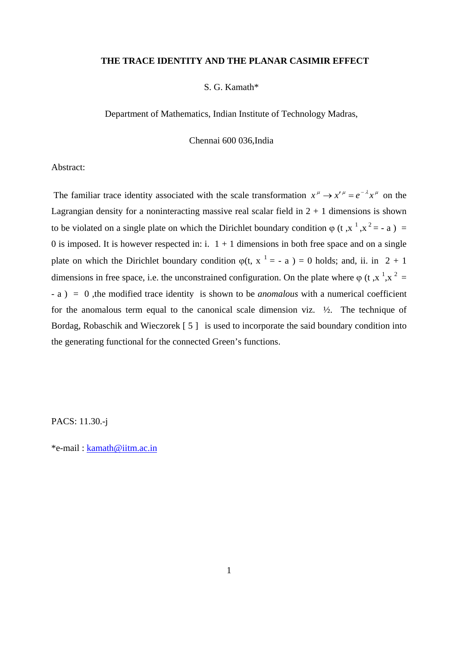### **THE TRACE IDENTITY AND THE PLANAR CASIMIR EFFECT**

# S. G. Kamath\*

Department of Mathematics, Indian Institute of Technology Madras,

Chennai 600 036,India

Abstract:

The familiar trace identity associated with the scale transformation  $x^{\mu} \to x'^{\mu} = e^{-\lambda} x^{\mu}$  on the Lagrangian density for a noninteracting massive real scalar field in  $2 + 1$  dimensions is shown to be violated on a single plate on which the Dirichlet boundary condition  $\varphi$  (t, x<sup>1</sup>, x<sup>2</sup> = - a) = 0 is imposed. It is however respected in:  $i$ .  $1 + 1$  dimensions in both free space and on a single plate on which the Dirichlet boundary condition  $\varphi(t, x^{-1} = -a) = 0$  holds; and, ii. in 2 + 1 dimensions in free space, i.e. the unconstrained configuration. On the plate where  $\varphi$  (t, x<sup>-1</sup>,x<sup>-2</sup> = - a ) = 0 ,the modified trace identity is shown to be *anomalous* with a numerical coefficient for the anomalous term equal to the canonical scale dimension viz.  $\frac{1}{2}$ . The technique of Bordag, Robaschik and Wieczorek [5] is used to incorporate the said boundary condition into the generating functional for the connected Green's functions.

PACS: 11.30.-j

\*e-mail : [kamath@iitm.ac.in](mailto:kamath@iitm.ac.in)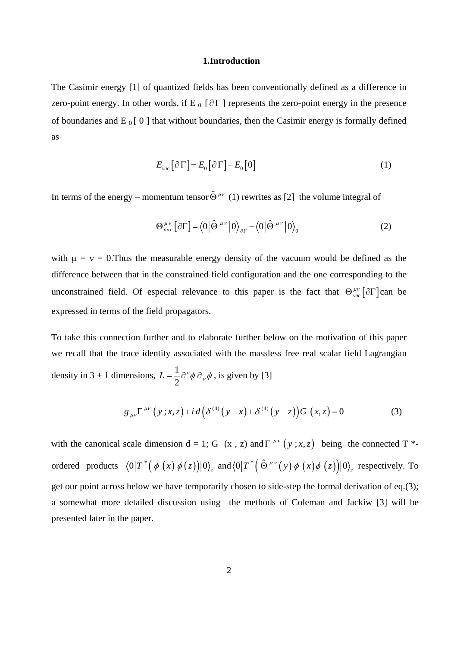### **1.Introduction**

The Casimir energy [1] of quantized fields has been conventionally defined as a difference in zero-point energy. In other words, if E  $_0$  [ $\partial \Gamma$ ] represents the zero-point energy in the presence of boundaries and E  $_0$  [ 0 ] that without boundaries, then the Casimir energy is formally defined as

$$
E_{\text{vac}}\left[\partial\Gamma\right] = E_0\left[\partial\Gamma\right] - E_0\left[0\right] \tag{1}
$$

In terms of the energy – momentum tensor  $\hat{\Theta}^{\mu\nu}$  (1) rewrites as [2] the volume integral of

$$
\Theta^{\mu\nu}_{\nu ac} [\partial \Gamma] = \langle 0 | \hat{\Theta}^{\mu\nu} | 0 \rangle_{\partial \Gamma} - \langle 0 | \hat{\Theta}^{\mu\nu} | 0 \rangle_{0}
$$
 (2)

with  $\mu = v = 0$ . Thus the measurable energy density of the vacuum would be defined as the difference between that in the constrained field configuration and the one corresponding to the unconstrained field. Of especial relevance to this paper is the fact that  $\Theta_{vac}^{\mu\nu} [\partial \Gamma]$  can be expressed in terms of the field propagators.

To take this connection further and to elaborate further below on the motivation of this paper we recall that the trace identity associated with the massless free real scalar field Lagrangian density in 3 + 1 dimensions,  $L = \frac{1}{2}$ 2  $L = \frac{1}{2} \partial^{\nu} \phi \, \partial_{\nu} \phi$ , is given by [3]

$$
g_{\mu\nu}\Gamma^{\mu\nu}(y;x,z) + i d\left(\delta^{(4)}(y-x) + \delta^{(4)}(y-z)\right)G(x,z) = 0
$$
 (3)

with the canonical scale dimension  $d = 1$ ; G  $(x, z)$  and  $\Gamma^{\mu\nu}(y; x, z)$  being the connected T<sup>\*</sup>ordered products  $\langle 0 | T^* (\phi(x) \phi(z)) | 0 \rangle_c$  and  $\langle 0 | T^* (\hat{\Theta}^{\mu\nu}(y) \phi(x) \phi(z)) | 0 \rangle_c$  respectively. To get our point across below we have temporarily chosen to side-step the formal derivation of eq.(3); a somewhat more detailed discussion using the methods of Coleman and Jackiw [3] will be presented later in the paper.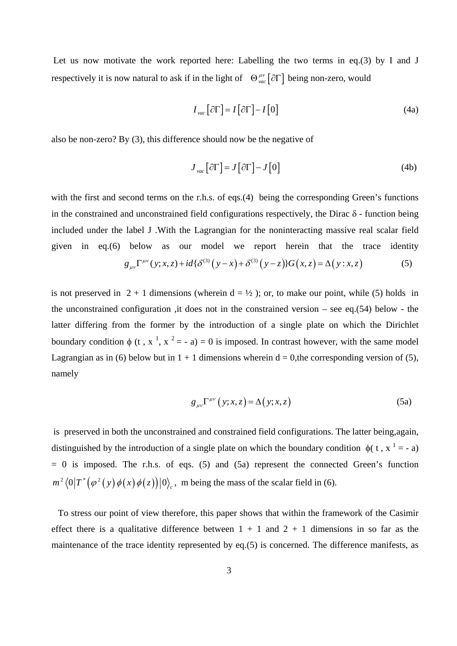Let us now motivate the work reported here: Labelling the two terms in eq.(3) by I and J respectively it is now natural to ask if in the light of  $\Theta_{\text{vac}}^{\mu\nu} [\partial \Gamma]$  being non-zero, would

$$
I_{vac} \left[ \partial \Gamma \right] = I \left[ \partial \Gamma \right] - I \left[ 0 \right] \tag{4a}
$$

also be non-zero? By (3), this difference should now be the negative of

$$
J_{vac} [\partial \Gamma] = J [\partial \Gamma] - J [0]
$$
 (4b)

with the first and second terms on the r.h.s. of eqs.(4) being the corresponding Green's functions in the constrained and unconstrained field configurations respectively, the Dirac  $\delta$  - function being included under the label J .With the Lagrangian for the noninteracting massive real scalar field given in eq.(6) below as our model we report herein that the trace identity

$$
g_{\mu\nu}\Gamma^{\mu\nu}(y;x,z) + id\{\delta^{(3)}(y-x) + \delta^{(3)}(y-z)\}G(x,z) = \Delta(y:x,z)
$$
(5)

is not preserved in  $2 + 1$  dimensions (wherein  $d = \frac{1}{2}$ ); or, to make our point, while (5) holds in the unconstrained configuration ,it does not in the constrained version – see eq.(54) below - the latter differing from the former by the introduction of a single plate on which the Dirichlet boundary condition  $\phi$  (t, x<sup>1</sup>, x<sup>2</sup> = - a) = 0 is imposed. In contrast however, with the same model Lagrangian as in (6) below but in  $1 + 1$  dimensions wherein  $d = 0$ , the corresponding version of (5), namely

$$
g_{\mu\nu}\Gamma^{\mu\nu}(y;x,z) = \Delta(y;x,z)
$$
 (5a)

 is preserved in both the unconstrained and constrained field configurations. The latter being,again, distinguished by the introduction of a single plate on which the boundary condition  $\phi$ ( $t, x^1 = -a$ )  $= 0$  is imposed. The r.h.s. of eqs. (5) and (5a) represent the connected Green's function  $m^2 \langle 0 | T^* (\varphi^2(y) \varphi(x) \varphi(z)) | 0 \rangle$ , m being the mass of the scalar field in (6).

To stress our point of view therefore, this paper shows that within the framework of the Casimir effect there is a qualitative difference between  $1 + 1$  and  $2 + 1$  dimensions in so far as the maintenance of the trace identity represented by eq.(5) is concerned. The difference manifests, as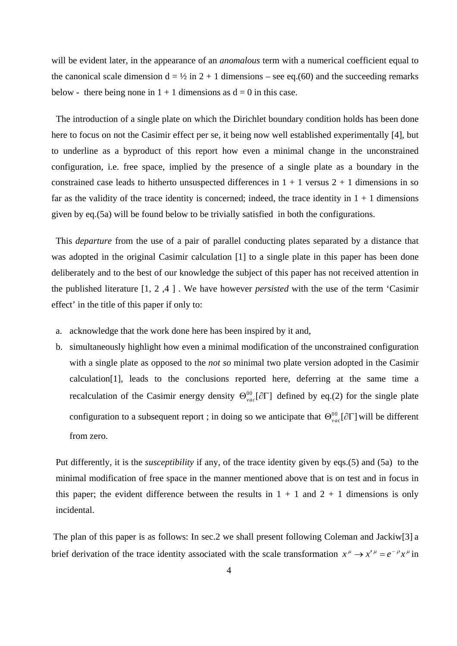will be evident later, in the appearance of an *anomalous* term with a numerical coefficient equal to the canonical scale dimension  $d = \frac{1}{2}$  in  $2 + 1$  dimensions – see eq.(60) and the succeeding remarks below - there being none in  $1 + 1$  dimensions as  $d = 0$  in this case.

The introduction of a single plate on which the Dirichlet boundary condition holds has been done here to focus on not the Casimir effect per se, it being now well established experimentally [4], but to underline as a byproduct of this report how even a minimal change in the unconstrained configuration, i.e. free space, implied by the presence of a single plate as a boundary in the constrained case leads to hitherto unsuspected differences in  $1 + 1$  versus  $2 + 1$  dimensions in so far as the validity of the trace identity is concerned; indeed, the trace identity in  $1 + 1$  dimensions given by eq.(5a) will be found below to be trivially satisfied in both the configurations.

 This *departure* from the use of a pair of parallel conducting plates separated by a distance that was adopted in the original Casimir calculation [1] to a single plate in this paper has been done deliberately and to the best of our knowledge the subject of this paper has not received attention in the published literature [1, 2 ,4 ] . We have however *persisted* with the use of the term 'Casimir effect' in the title of this paper if only to:

- a. acknowledge that the work done here has been inspired by it and,
- b. simultaneously highlight how even a minimal modification of the unconstrained configuration with a single plate as opposed to the *not so* minimal two plate version adopted in the Casimir calculation[1], leads to the conclusions reported here, deferring at the same time a recalculation of the Casimir energy density  $\Theta_{vac}^{00}[\partial\Gamma]$  defined by eq.(2) for the single plate configuration to a subsequent report ; in doing so we anticipate that  $\Theta_{vac}^{00}[\partial\Gamma]$  will be different from zero.

Put differently, it is the *susceptibility* if any, of the trace identity given by eqs.(5) and (5a) to the minimal modification of free space in the manner mentioned above that is on test and in focus in this paper; the evident difference between the results in  $1 + 1$  and  $2 + 1$  dimensions is only incidental.

The plan of this paper is as follows: In sec.2 we shall present following Coleman and Jackiw[3] a brief derivation of the trace identity associated with the scale transformation  $x^{\mu} \to x'^{\mu} = e^{-\rho} x^{\mu}$  in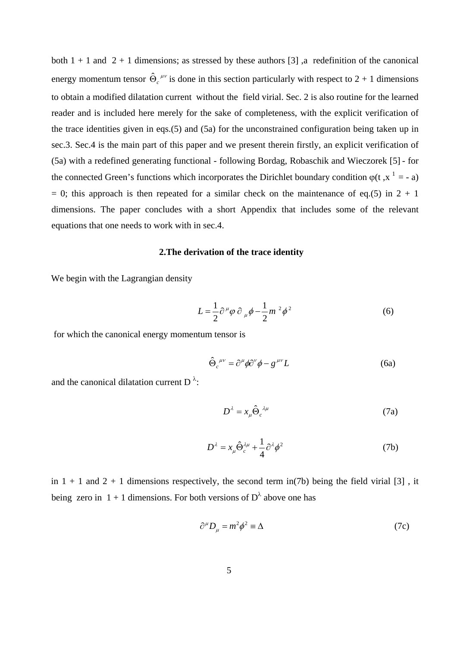both  $1 + 1$  and  $2 + 1$  dimensions; as stressed by these authors [3], a redefinition of the canonical energy momentum tensor  $\hat{\Theta}_c^{\mu\nu}$  is done in this section particularly with respect to 2 + 1 dimensions to obtain a modified dilatation current without the field virial. Sec. 2 is also routine for the learned reader and is included here merely for the sake of completeness, with the explicit verification of the trace identities given in eqs.(5) and (5a) for the unconstrained configuration being taken up in sec.3. Sec.4 is the main part of this paper and we present therein firstly, an explicit verification of (5a) with a redefined generating functional - following Bordag, Robaschik and Wieczorek [5] - for the connected Green's functions which incorporates the Dirichlet boundary condition  $\varphi(t, x^1 = -a)$  $= 0$ ; this approach is then repeated for a similar check on the maintenance of eq.(5) in  $2 + 1$ dimensions. The paper concludes with a short Appendix that includes some of the relevant equations that one needs to work with in sec.4.

## **2.The derivation of the trace identity**

We begin with the Lagrangian density

$$
L = \frac{1}{2} \partial^{\mu} \varphi \, \partial_{\mu} \phi - \frac{1}{2} m^2 \phi^2
$$
 (6)

for which the canonical energy momentum tensor is

$$
\hat{\Theta}_c^{\ \mu\nu} = \partial^\mu \phi \partial^\nu \phi - g^{\mu\nu} L \tag{6a}
$$

and the canonical dilatation current D<sup> $\lambda$ </sup>:

$$
D^{\lambda} = x_{\mu} \hat{\Theta}_c^{\ \lambda \mu} \tag{7a}
$$

$$
D^{\lambda} = x_{\mu} \hat{\Theta}_{c}^{\lambda \mu} + \frac{1}{4} \partial^{\lambda} \phi^{2}
$$
 (7b)

in  $1 + 1$  and  $2 + 1$  dimensions respectively, the second term in(7b) being the field virial [3], it being zero in 1 + 1 dimensions. For both versions of  $D^{\lambda}$  above one has

$$
\partial^{\mu}D_{\mu} = m^2 \phi^2 \equiv \Delta \tag{7c}
$$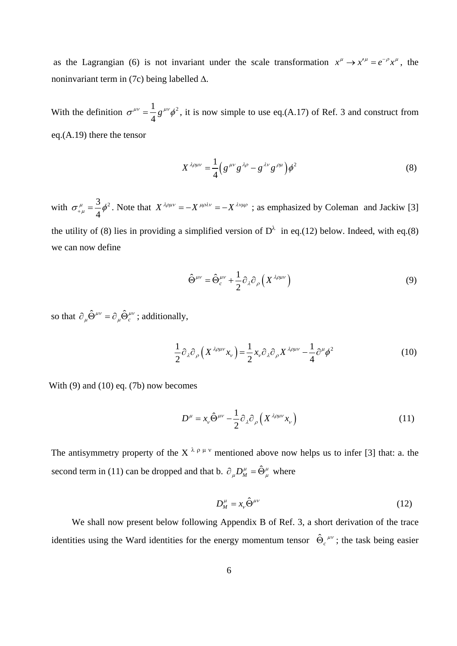as the Lagrangian (6) is not invariant under the scale transformation  $x^{\mu} \rightarrow x^{\prime \mu} = e^{-\rho} x^{\mu}$ , the noninvariant term in (7c) being labelled ∆.

With the definition  $\sigma^{\mu\nu} = \frac{1}{2} g^{\mu\nu} \phi^2$ 4  $\sigma^{\mu\nu} = -g^{\mu\nu}\phi^2$ , it is now simple to use eq.(A.17) of Ref. 3 and construct from eq.(A.19) there the tensor

$$
X^{\lambda\rho\mu\nu} = \frac{1}{4} \left( g^{\mu\nu} g^{\lambda\rho} - g^{\lambda\nu} g^{\rho\mu} \right) \phi^2 \tag{8}
$$

with  $\sigma_{\mu\mu}^{\mu} = \frac{3}{4} \phi^2$  $\sigma_{+\mu}^{\mu} = \frac{3}{4} \phi^2$ . Note that  $X^{\lambda \rho \mu \nu} = -X^{\mu \rho \lambda \nu} = -X^{\lambda \nu \mu \rho}$ ; as emphasized by Coleman and Jackiw [3] the utility of (8) lies in providing a simplified version of  $D^{\lambda}$  in eq.(12) below. Indeed, with eq.(8) we can now define

$$
\hat{\Theta}^{\mu\nu} = \hat{\Theta}^{\mu\nu}_c + \frac{1}{2} \partial_{\lambda} \partial_{\rho} \left( X^{\lambda \rho \mu \nu} \right)
$$
(9)

so that  $\partial_{\mu} \hat{\Theta}^{\mu\nu} = \partial_{\mu} \hat{\Theta}^{\mu\nu}$ ; additionally,

$$
\frac{1}{2}\partial_{\lambda}\partial_{\rho}\left(X^{\lambda\rho\mu\nu}x_{\nu}\right) = \frac{1}{2}x_{\nu}\partial_{\lambda}\partial_{\rho}X^{\lambda\rho\mu\nu} - \frac{1}{4}\partial^{\mu}\phi^{2}
$$
(10)

With  $(9)$  and  $(10)$  eq.  $(7b)$  now becomes

$$
D^{\mu} = x_{\nu} \hat{\Theta}^{\mu\nu} - \frac{1}{2} \partial_{\lambda} \partial_{\rho} \left( X^{\lambda \rho \mu \nu} x_{\nu} \right)
$$
 (11)

The antisymmetry property of the X<sup> $\lambda \rho \mu \nu$ </sup> mentioned above now helps us to infer [3] that: a. the second term in (11) can be dropped and that b.  $\partial_{\mu}D^{\mu}_{M} = \hat{\Theta}^{\mu}_{\mu}$  where

$$
D_M^{\mu} = x_{\nu} \hat{\Theta}^{\mu\nu} \tag{12}
$$

We shall now present below following Appendix B of Ref. 3, a short derivation of the trace identities using the Ward identities for the energy momentum tensor  $\hat{\Theta}_c^{\mu\nu}$ ; the task being easier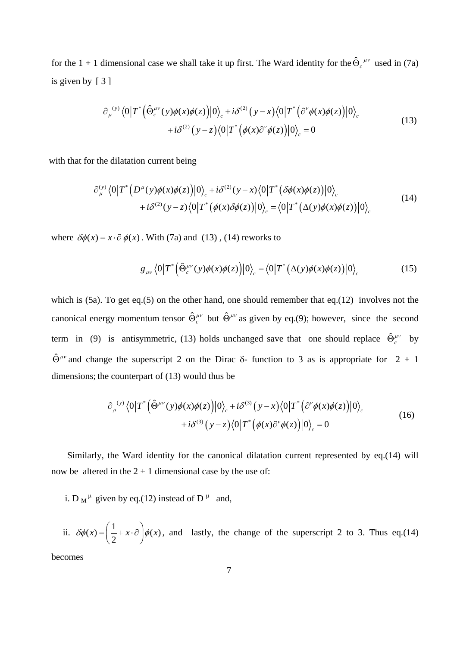for the 1 + 1 dimensional case we shall take it up first. The Ward identity for the  $\hat{\Theta}_c^{\mu\nu}$  used in (7a) is given by [ 3 ]

$$
\partial_{\mu}^{(y)} \langle 0|T^* (\hat{\Theta}_{c}^{\mu\nu}(y)\phi(x)\phi(z))|0\rangle_c + i\delta^{(2)} (y-x) \langle 0|T^* (\partial^{\nu}\phi(x)\phi(z))|0\rangle_c + i\delta^{(2)} (y-z) \langle 0|T^* (\phi(x)\partial^{\nu}\phi(z))|0\rangle_c = 0
$$
\n(13)

with that for the dilatation current being

$$
\partial_{\mu}^{(y)} \langle 0|T^* \Big(D^{\mu}(y)\phi(x)\phi(z)\Big)|0\rangle_c + i\delta^{(2)}(y-x)\langle 0|T^* \Big(\delta\phi(x)\phi(z)\Big)|0\rangle_c + i\delta^{(2)}(y-z)\langle 0|T^* \Big(\phi(x)\delta\phi(z)\Big)|0\rangle_c = \langle 0|T^* \Big(\Delta(y)\phi(x)\phi(z)\Big)|0\rangle_c
$$
\n(14)

where  $\delta\phi(x) = x \cdot \partial \phi(x)$ . With (7a) and (13), (14) reworks to

$$
g_{\mu\nu}\langle 0|T^*\Big(\hat{\Theta}_c^{\mu\nu}(y)\phi(x)\phi(z)\Big)|0\rangle_c = \langle 0|T^*\big(\Delta(y)\phi(x)\phi(z)\big)|0\rangle_c\tag{15}
$$

which is (5a). To get eq.(5) on the other hand, one should remember that eq.(12) involves not the canonical energy momentum tensor  $\hat{\Theta}^{\mu\nu}_c$  but  $\hat{\Theta}^{\mu\nu}_c$  as given by eq.(9); however, since the second term in (9) is antisymmetric, (13) holds unchanged save that one should replace  $\hat{\Theta}_c^{\mu\nu}$  by  $\hat{\Theta}^{\mu\nu}$  and change the superscript 2 on the Dirac  $\delta$ - function to 3 as is appropriate for 2 + 1 dimensions; the counterpart of (13) would thus be

$$
\partial_{\mu}^{(y)} \langle 0|T^* (\hat{\Theta}^{\mu\nu}(y)\phi(x)\phi(z))|0\rangle_c + i\delta^{(3)} (y-x)\langle 0|T^* (\partial^{\nu}\phi(x)\phi(z))|0\rangle_c + i\delta^{(3)} (y-z)\langle 0|T^* (\phi(x)\partial^{\nu}\phi(z))|0\rangle_c = 0
$$
\n(16)

Similarly, the Ward identity for the canonical dilatation current represented by eq.(14) will now be altered in the  $2 + 1$  dimensional case by the use of:

i. D<sub>M</sub><sup> $\mu$ </sup> given by eq.(12) instead of D<sup> $\mu$ </sup> and,

ii.  $\delta\phi(x) = \left(\frac{1}{2} + x \cdot \partial\right)\phi(x)$ , and lastly, the change of the superscript 2 to 3. Thus eq.(14)

becomes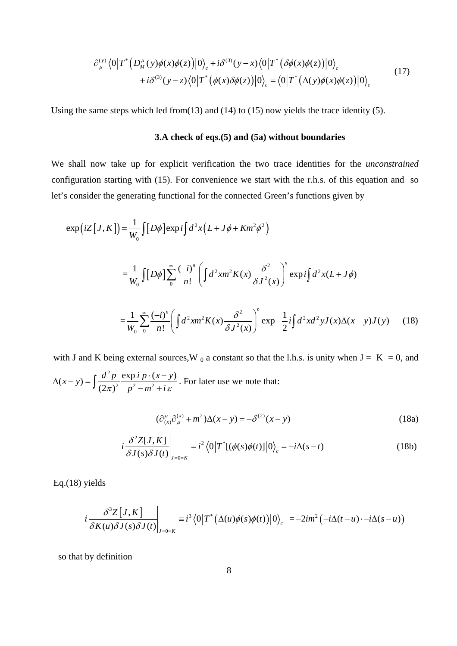$$
\partial_{\mu}^{(y)} \langle 0|T^* \Big(D_M^{\mu}(y)\phi(x)\phi(z)\Big)|0\rangle_c + i\delta^{(3)}(y-x)\langle 0|T^* \Big(\delta\phi(x)\phi(z)\Big)|0\rangle_c + i\delta^{(3)}(y-z)\langle 0|T^* \Big(\phi(x)\delta\phi(z)\Big)|0\rangle_c = \langle 0|T^* \Big(\Delta(y)\phi(x)\phi(z)\Big)|0\rangle_c
$$
\n(17)

Using the same steps which led from(13) and (14) to (15) now yields the trace identity (5).

## **3.A check of eqs.(5) and (5a) without boundaries**

We shall now take up for explicit verification the two trace identities for the *unconstrained* configuration starting with (15). For convenience we start with the r.h.s. of this equation and so let's consider the generating functional for the connected Green's functions given by

$$
\exp\left(iZ\left[J,K\right]\right) = \frac{1}{W_0} \int [D\phi] \exp i\int d^2x \left(L + J\phi + Km^2\phi^2\right)
$$
  

$$
= \frac{1}{W_0} \int [D\phi] \sum_{0}^{\infty} \frac{(-i)^n}{n!} \left(\int d^2x m^2 K(x) \frac{\delta^2}{\delta J^2(x)}\right)^n \exp i\int d^2x (L + J\phi)
$$
  

$$
= \frac{1}{W_0} \sum_{0}^{\infty} \frac{(-i)^n}{n!} \left(\int d^2x m^2 K(x) \frac{\delta^2}{\delta J^2(x)}\right)^n \exp -\frac{1}{2} i\int d^2x d^2y J(x) \Delta(x - y) J(y) \tag{18}
$$

with J and K being external sources, W  $_0$  a constant so that the l.h.s. is unity when  $J = K = 0$ , and 2  $(x-y) = \int \frac{d^2 p}{(2\pi)^2} \frac{\exp i p \cdot (x-y)}{p^2 - m^2 + i \varepsilon}$  $\Delta(x-y) = \int \frac{d^2 p}{(2\pi)^2} \frac{\exp i p \cdot (x-y)}{p^2 - m^2 + i \varepsilon}$ . For later use we note that:

$$
(\partial_{(x)}^{\mu}\partial_{\mu}^{(x)} + m^2)\Delta(x - y) = -\delta^{(2)}(x - y)
$$
\n(18a)

$$
i\frac{\delta^2 Z[J,K]}{\delta J(s)\delta J(t)}\bigg|_{J=0=K} = i^2 \langle 0|T^*[(\phi(s)\phi(t)]|0\rangle_c = -i\Delta(s-t) \tag{18b}
$$

Eq.(18) yields

$$
i\frac{\partial^3 Z[J,K]}{\partial K(u)\partial J(s)\partial J(t)}\bigg|_{J=0=K} \equiv i^3 \langle 0|T^* (\Delta(u)\phi(s)\phi(t))|0\rangle_c = -2im^2 (-i\Delta(t-u)\cdot -i\Delta(s-u))
$$

so that by definition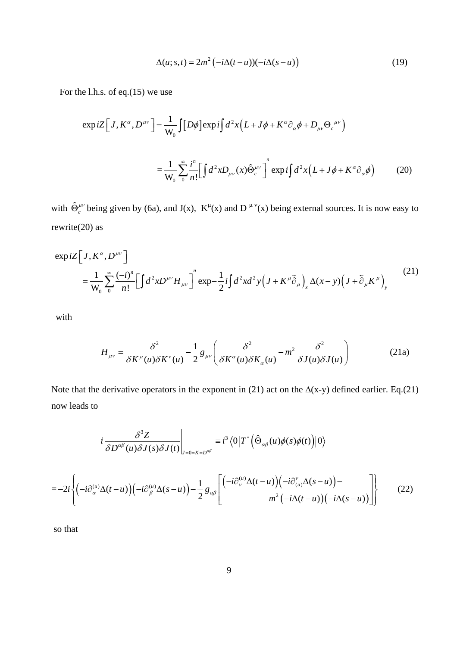$$
\Delta(u;s,t) = 2m^2 \left( -i\Delta(t-u) \right) \left( -i\Delta(s-u) \right) \tag{19}
$$

For the l.h.s. of eq.(15) we use

$$
\exp iZ \Big[ J, K^{\alpha}, D^{\mu\nu} \Big] = \frac{1}{W_0} \int [D\phi] \exp i \int d^2x \Big( L + J\phi + K^{\alpha} \partial_{\alpha} \phi + D_{\mu\nu} \Theta_c^{\mu\nu} \Big)
$$

$$
= \frac{1}{W_0} \sum_{0}^{\infty} \frac{i^n}{n!} \Big[ \int d^2x D_{\mu\nu}(x) \hat{\Theta}_c^{\mu\nu} \Big]^n \exp i \int d^2x \Big( L + J\phi + K^{\alpha} \partial_{\alpha} \phi \Big) \tag{20}
$$

with  $\hat{\Theta}_c^{\mu\nu}$  being given by (6a), and J(x),  $K^{\mu}(x)$  and D<sup> $\mu\nu(x)$ </sup> being external sources. It is now easy to rewrite(20) as

$$
\exp iZ \left[J, K^{\alpha}, D^{\mu\nu}\right]
$$
  
=  $\frac{1}{W_0} \sum_{0}^{\infty} \frac{(-i)^n}{n!} \left[\int d^2x D^{\mu\nu} H_{\mu\nu}\right]^n \exp{-\frac{1}{2}i \int d^2x d^2y \left(J + K^{\mu}\vec{\partial}_{\mu}\right)_x \Delta(x - y) \left(J + \vec{\partial}_{\mu}K^{\mu}\right)_y}$  (21)

with

$$
H_{\mu\nu} = \frac{\delta^2}{\delta K^{\mu}(u)\delta K^{\nu}(u)} - \frac{1}{2}g_{\mu\nu}\left(\frac{\delta^2}{\delta K^{\alpha}(u)\delta K_{\alpha}(u)} - m^2\frac{\delta^2}{\delta J(u)\delta J(u)}\right)
$$
(21a)

Note that the derivative operators in the exponent in (21) act on the  $\Delta(x-y)$  defined earlier. Eq.(21) now leads to

$$
i\frac{\partial^{3}Z}{\partial D^{\alpha\beta}(u)\partial J(s)\partial J(t)}\Big|_{J=0=K=D^{\alpha\beta}}\equiv i^{3}\langle 0|T^{*}(\hat{\Theta}_{\alpha\beta}(u)\phi(s)\phi(t))|0\rangle
$$
  
=
$$
-2i\left\{(-i\partial_{\alpha}^{(u)}\Delta(t-u))(-i\partial_{\beta}^{(u)}\Delta(s-u))-\frac{1}{2}g_{\alpha\beta}\left[\frac{(-i\partial_{\nu}^{(u)}\Delta(t-u))(-i\partial_{(u)}^{v}\Delta(s-u))}{m^{2}(-i\Delta(t-u))(-i\Delta(s-u))}\right]\right\}
$$
(22)

so that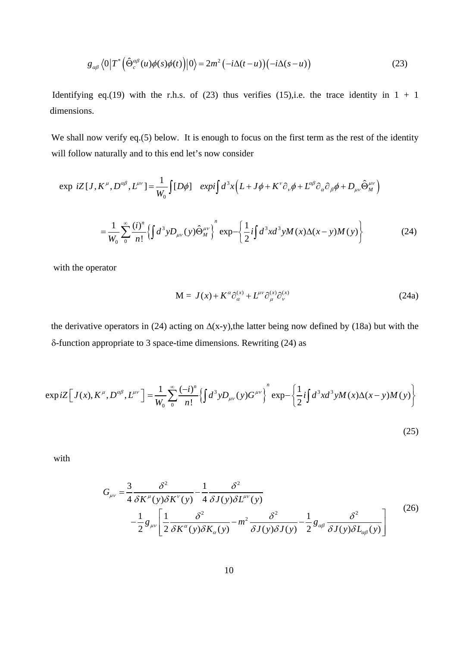$$
g_{\alpha\beta} \langle 0|T^* \Big(\hat{\Theta}_c^{\alpha\beta}(u)\phi(s)\phi(t)\Big)|0\rangle = 2m^2 \left(-i\Delta(t-u)\right)\left(-i\Delta(s-u)\right) \tag{23}
$$

Identifying eq.(19) with the r.h.s. of (23) thus verifies (15), i.e. the trace identity in  $1 + 1$ dimensions.

We shall now verify eq.(5) below. It is enough to focus on the first term as the rest of the identity will follow naturally and to this end let's now consider

$$
\exp iZ[J, K^{\mu}, D^{\alpha\beta}, L^{\mu\nu}] = \frac{1}{W_0} \int [D\phi] \exp i \int d^3x \left( L + J\phi + K^{\nu}\partial_{\nu}\phi + L^{\alpha\beta}\partial_{\alpha}\partial_{\beta}\phi + D_{\mu\nu}\hat{\Theta}^{\mu\nu}_M \right)
$$

$$
= \frac{1}{W_0} \sum_{0}^{\infty} \frac{(i)^n}{n!} \left\{ \int d^3y D_{\mu\nu}(y)\hat{\Theta}^{\mu\nu}_M \right\}^n \exp \left\{ \frac{1}{2} i \int d^3x d^3y M(x) \Delta(x - y) M(y) \right\} \tag{24}
$$

with the operator

$$
M = J(x) + K^{\alpha} \partial_{\alpha}^{(x)} + L^{\mu\nu} \partial_{\mu}^{(x)} \partial_{\nu}^{(x)}
$$
(24a)

the derivative operators in (24) acting on  $\Delta(x-y)$ , the latter being now defined by (18a) but with the δ-function appropriate to 3 space-time dimensions. Rewriting (24) as

$$
\exp iZ \Big[ J(x), K^{\mu}, D^{\alpha\beta}, L^{\mu\nu} \Big] = \frac{1}{W_0} \sum_{0}^{\infty} \frac{(-i)^n}{n!} \Big\{ \int d^3y D_{\mu\nu}(y) G^{\mu\nu} \Big\}^n \exp \left\{ \frac{1}{2} i \int d^3x d^3y M(x) \Delta(x - y) M(y) \right\}
$$
(25)

with

$$
G_{\mu\nu} = \frac{3}{4} \frac{\delta^2}{\delta K^{\mu}(y)\delta K^{\nu}(y)} - \frac{1}{4} \frac{\delta^2}{\delta J(y)\delta L^{\mu\nu}(y)}
$$

$$
- \frac{1}{2} g_{\mu\nu} \left[ \frac{1}{2} \frac{\delta^2}{\delta K^{\alpha}(y)\delta K_{\alpha}(y)} - m^2 \frac{\delta^2}{\delta J(y)\delta J(y)} - \frac{1}{2} g_{\alpha\beta} \frac{\delta^2}{\delta J(y)\delta L_{\alpha\beta}(y)} \right] \tag{26}
$$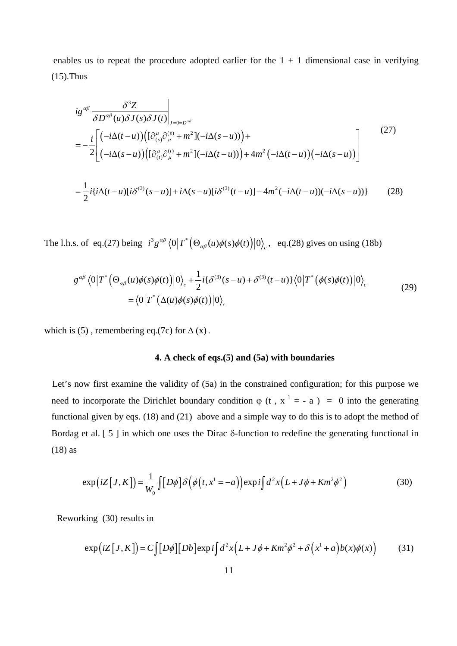enables us to repeat the procedure adopted earlier for the  $1 + 1$  dimensional case in verifying (15).Thus

$$
ig^{\alpha\beta} \frac{\delta^3 Z}{\delta D^{\alpha\beta}(u)\delta J(s)\delta J(t)}\Big|_{J=0=D^{\alpha\beta}}
$$
  
= 
$$
-\frac{i}{2}\Biggl[ \Biggl( -i\Delta(t-u) \Biggl) \Biggl( [\partial_{(s)}^\mu \partial_\mu^{(s)} + m^2 \Biggr] (-i\Delta(s-u)) \Biggr) + 4m^2 \Biggl( -i\Delta(t-u) \Biggr) \Biggl( -i\Delta(s-u) \Biggr) \Biggl( \Biggl( -i\Delta(s-u) \Biggr) \Biggl) \Biggl( \partial_{(t)}^\mu \partial_\mu^{(t)} + m^2 \Biggr) \Biggl( -i\Delta(t-u) \Biggr) + 4m^2 \Biggl( -i\Delta(t-u) \Biggr) \Biggl( -i\Delta(s-u) \Biggr) \Biggr] \Biggr]
$$
  
= 
$$
\frac{1}{2}i\{i\Delta(t-u)[i\delta^{(3)}(s-u)] + i\Delta(s-u)[i\delta^{(3)}(t-u)] - 4m^2 \Biggl( -i\Delta(t-u) \Biggr) \Biggr) -i\Delta(s-u) \Biggr\}
$$
(28)

The l.h.s. of eq.(27) being  $i^3 g^{\alpha\beta} \langle 0 | T^* (\Theta_{\alpha\beta}(u) \phi(s) \phi(t)) | 0 \rangle_c$ , eq.(28) gives on using (18b)

$$
g^{\alpha\beta} \langle 0|T^* \Big(\Theta_{\alpha\beta}(u)\phi(s)\phi(t)\Big)|0\rangle_c + \frac{1}{2}i\{\delta^{(3)}(s-u) + \delta^{(3)}(t-u)\}\langle 0|T^* \Big(\phi(s)\phi(t)\Big)|0\rangle_c
$$
  
=\langle 0|T^\* \Big(\Delta(u)\phi(s)\phi(t)\Big)|0\rangle\_c (29)

which is (5), remembering eq.(7c) for  $\Delta$  (x).

# **4. A check of eqs.(5) and (5a) with boundaries**

Let's now first examine the validity of (5a) in the constrained configuration; for this purpose we need to incorporate the Dirichlet boundary condition  $\varphi$  (t, x<sup>1</sup> = - a) = 0 into the generating functional given by eqs. (18) and (21) above and a simple way to do this is to adopt the method of Bordag et al. [ 5 ] in which one uses the Dirac  $\delta$ -function to redefine the generating functional in (18) as

$$
\exp\left(iZ\left[J,K\right]\right) = \frac{1}{W_0} \int \left[D\phi\right] \delta\left(\phi\left(t,x^1=-a\right)\right) \exp\left(i\int d^2x \left(L+J\phi+Km^2\phi^2\right)\right) \tag{30}
$$

Reworking (30) results in

$$
\exp\left(iZ\left[J,K\right]\right) = C\int [D\phi][Db]\exp i\int d^2x \left(L+J\phi+Km^2\phi^2+\delta\left(x^1+a\right)b(x)\phi(x)\right) \tag{31}
$$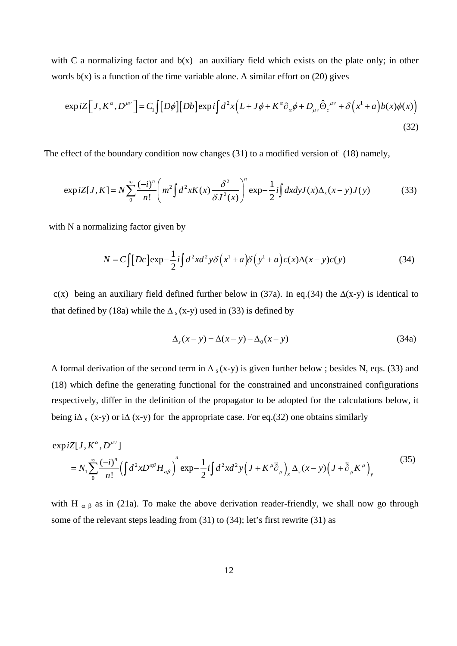with C a normalizing factor and  $b(x)$  an auxiliary field which exists on the plate only; in other words  $b(x)$  is a function of the time variable alone. A similar effort on (20) gives

$$
\exp iZ \Big[ J, K^{\alpha}, D^{\mu\nu} \Big] = C_1 \int [D\phi] [Db] \exp i \int d^2x \Big( L + J\phi + K^{\alpha} \partial_{\alpha}\phi + D_{\mu\nu} \hat{\Theta}_c^{\ \mu\nu} + \delta \Big( x^1 + a \Big) b(x) \phi(x) \Big)
$$
\n(32)

The effect of the boundary condition now changes (31) to a modified version of (18) namely,

$$
\exp iZ[J,K] = N \sum_{0}^{\infty} \frac{(-i)^n}{n!} \left( m^2 \int d^2x K(x) \frac{\delta^2}{\delta J^2(x)} \right)^n \exp{-\frac{1}{2}i \int dx dy J(x) \Delta_s(x-y) J(y)} \tag{33}
$$

with N a normalizing factor given by

$$
N = C \int [Dc] \exp{-\frac{1}{2}i \int d^2x d^2y \delta(x^1 + a) \delta(y^1 + a) c(x) \Delta(x - y) c(y)}
$$
(34)

c(x) being an auxiliary field defined further below in (37a). In eq.(34) the  $\Delta$ (x-y) is identical to that defined by (18a) while the  $\Delta$ <sub>s</sub> (x-y) used in (33) is defined by

$$
\Delta_s(x - y) = \Delta(x - y) - \Delta_0(x - y) \tag{34a}
$$

A formal derivation of the second term in  $\Delta$ <sub>s</sub> (x-y) is given further below ; besides N, eqs. (33) and (18) which define the generating functional for the constrained and unconstrained configurations respectively, differ in the definition of the propagator to be adopted for the calculations below, it being i $\Delta$ <sub>s</sub> (x-y) or i $\Delta$  (x-y) for the appropriate case. For eq.(32) one obtains similarly

$$
\exp iZ[J, K^{\alpha}, D^{\mu\nu}]
$$
  
=  $N_1 \sum_{0}^{\infty} \frac{(-i)^n}{n!} \left(\int d^2x D^{\alpha\beta} H_{\alpha\beta}\right)^n \exp{-\frac{1}{2}i \int d^2x d^2y \left(J + K^{\mu}\vec{\partial}_{\mu}\right)_x \Delta_s(x-y) \left(J + \vec{\partial}_{\mu}K^{\mu}\right)_y}$  (35)

with H  $\alpha \beta$  as in (21a). To make the above derivation reader-friendly, we shall now go through some of the relevant steps leading from (31) to (34); let's first rewrite (31) as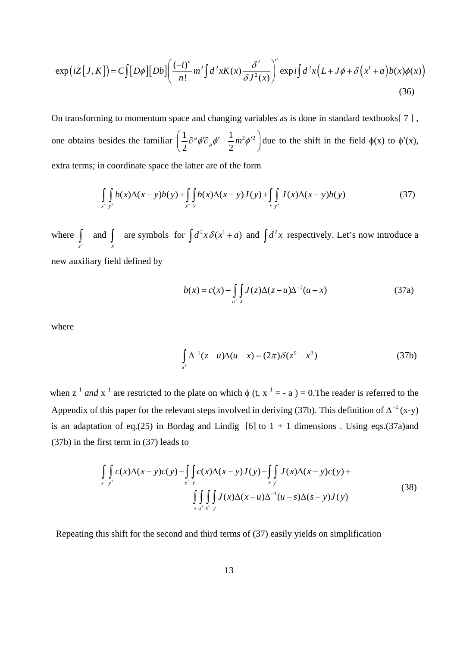$$
\exp\left(iZ\left[J,K\right]\right) = C\int [D\phi][Db] \left(\frac{(-i)^n}{n!}m^2\int d^2x K(x)\frac{\delta^2}{\delta J^2(x)}\right)^n \exp\left(d^2x\left(L+J\phi+\delta\left(x^1+a\right)b(x)\phi(x)\right)\right)
$$
\n(36)

On transforming to momentum space and changing variables as is done in standard textbooks[ 7 ] , one obtains besides the familiar  $\left(\frac{1}{2}\partial^{\mu}\phi^{\prime}\partial_{\mu}\phi^{\prime}-\frac{1}{2}m^{2}\phi^{\prime}^{2}\right)$  $\left(\frac{1}{2}\partial^{\mu}\phi^{\prime}\partial_{\mu}\phi^{\prime}-\frac{1}{2}m^{2}\phi^{\prime}^{2}\right)$  due to the shift in the field  $\phi(x)$  to  $\phi^{\prime}(x)$ , extra terms; in coordinate space the latter are of the form

$$
\int_{x^+ y^+} b(x) \Delta(x - y) b(y) + \int_{x^+ y} b(x) \Delta(x - y) J(y) + \int_{x y^+} J(x) \Delta(x - y) b(y)
$$
(37)

where and are symbols for  $\int d^2x \delta(x^1 + a)$  $\int_{x^+}$  and  $\int_{x}$  are symbols for  $\int d^2x \delta(x^1 + a)$  and  $\int d^2x$  respectively. Let's now introduce a new auxiliary field defined by

$$
b(x) = c(x) - \int_{u^+} \int_{z} J(z) \Delta(z - u) \Delta^{-1}(u - x)
$$
 (37a)

where

$$
\int_{u^{+}} \Delta^{-1}(z - u)\Delta(u - x) = (2\pi)\delta(z^{0} - x^{0})
$$
\n(37b)

when z<sup>1</sup> and x<sup>1</sup> are restricted to the plate on which  $\phi$  (t, x<sup>1</sup> = - a) = 0. The reader is referred to the Appendix of this paper for the relevant steps involved in deriving (37b). This definition of  $\Delta^{-1}$  (x-y) is an adaptation of eq.(25) in Bordag and Lindig [6] to  $1 + 1$  dimensions . Using eqs.(37a)and (37b) in the first term in (37) leads to

$$
\int_{x^+ y^+} c(x) \Delta(x - y) c(y) - \int_{x^+ y} c(x) \Delta(x - y) J(y) - \int_{x y^+} J(x) \Delta(x - y) c(y) + \int_{x y^+} \int_{y^+} J(x) \Delta(x - u) \Delta(x - u) \Delta(x - y) J(y)
$$
\n(38)

Repeating this shift for the second and third terms of (37) easily yields on simplification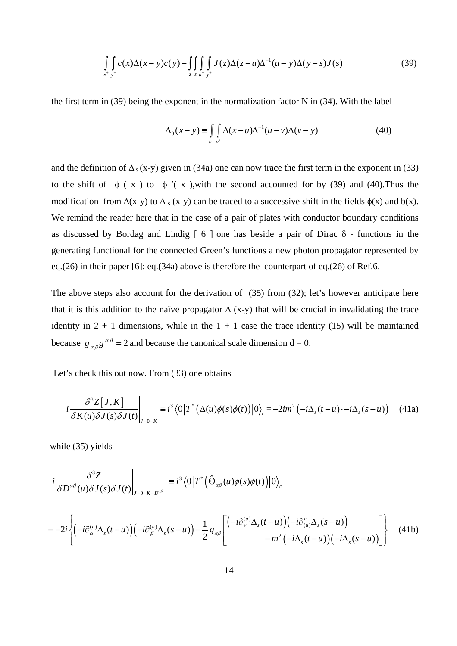$$
\iint\limits_{x^+ y^+} c(x) \Delta(x - y) c(y) - \iiint\limits_{z} \iint\limits_{u^+ y^+} J(z) \Delta(z - u) \Delta^{-1}(u - y) \Delta(y - s) J(s) \tag{39}
$$

the first term in (39) being the exponent in the normalization factor N in (34). With the label

$$
\Delta_0(x-y) \equiv \int\limits_{u^+} \int\limits_{v^+} \Delta(x-u) \Delta^{-1}(u-v) \Delta(v-y) \tag{40}
$$

and the definition of  $\Delta$ <sub>s</sub> (x-y) given in (34a) one can now trace the first term in the exponent in (33) to the shift of  $\phi$  ( x ) to  $\phi'$  ( x ), with the second accounted for by (39) and (40). Thus the modification from  $\Delta(x-y)$  to  $\Delta_s$  (x-y) can be traced to a successive shift in the fields  $\phi(x)$  and  $b(x)$ . We remind the reader here that in the case of a pair of plates with conductor boundary conditions as discussed by Bordag and Lindig  $\lceil 6 \rceil$  one has beside a pair of Dirac  $\delta$  - functions in the generating functional for the connected Green's functions a new photon propagator represented by eq.(26) in their paper [6]; eq.(34a) above is therefore the counterpart of eq.(26) of Ref.6.

The above steps also account for the derivation of (35) from (32); let's however anticipate here that it is this addition to the naïve propagator  $\Delta$  (x-y) that will be crucial in invalidating the trace identity in  $2 + 1$  dimensions, while in the  $1 + 1$  case the trace identity (15) will be maintained because  $g_{\alpha\beta}g^{\alpha\beta} = 2$  and because the canonical scale dimension d = 0.

Let's check this out now. From (33) one obtains

$$
i\frac{\delta^3 Z[J,K]}{\delta K(u)\delta J(s)\delta J(t)}\bigg|_{J=0=K} \equiv i^3 \langle 0|T^* \big(\Delta(u)\phi(s)\phi(t)\big)|0\rangle_c = -2im^2 \big(-i\Delta_s(t-u)\cdot -i\Delta_s(s-u)\big) \tag{41a}
$$

while (35) yields

$$
i\frac{\delta^3 Z}{\delta D^{\alpha\beta}(u)\delta J(s)\delta J(t)}\bigg|_{J=0=K=D^{\alpha\beta}}\equiv i^3\big\langle 0\big|T^*\big(\hat{\Theta}_{\alpha\beta}(u)\phi(s)\phi(t)\big)\big|0\big\rangle_c
$$

$$
=-2i\left\{(-i\partial_{\alpha}^{(u)}\Delta_{s}(t-u)\left(-i\partial_{\beta}^{(u)}\Delta_{s}(s-u)\right)-\frac{1}{2}g_{\alpha\beta}\left[\begin{pmatrix}-i\partial_{\nu}^{(u)}\Delta_{s}(t-u)\left(-i\partial_{(u)}^{v}\Delta_{s}(s-u)\right)\\-m^{2}\left(-i\Delta_{s}(t-u)\right)\left(-i\Delta_{s}(s-u)\right)\end{pmatrix}\right]\right\}
$$
(41b)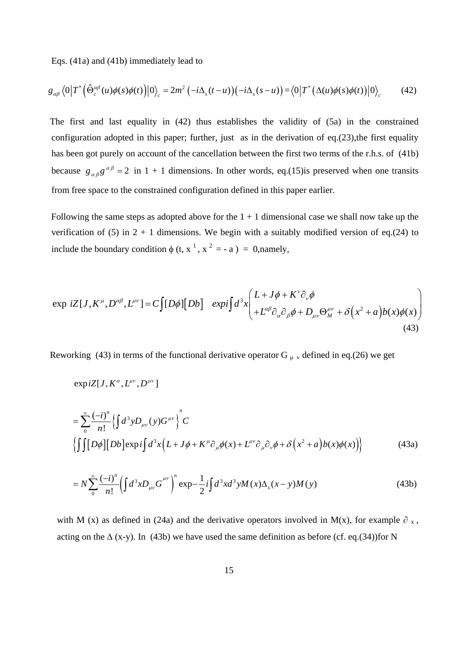Eqs. (41a) and (41b) immediately lead to

$$
g_{\alpha\beta}\langle 0|T^*\Big(\hat{\Theta}_c^{\alpha\beta}(u)\phi(s)\phi(t)\Big)|0\rangle_c=2m^2\left(-i\Delta_s(t-u)\right)\left(-i\Delta_s(s-u)\right)=\langle 0|T^*\big(\Delta(u)\phi(s)\phi(t)\big)|0\rangle_c\tag{42}
$$

The first and last equality in (42) thus establishes the validity of (5a) in the constrained configuration adopted in this paper; further, just as in the derivation of eq. $(23)$ , the first equality has been got purely on account of the cancellation between the first two terms of the r.h.s. of (41b) because  $g_{\alpha\beta}g^{\alpha\beta} = 2$  in 1 + 1 dimensions. In other words, eq.(15)is preserved when one transits from free space to the constrained configuration defined in this paper earlier.

Following the same steps as adopted above for the  $1 + 1$  dimensional case we shall now take up the verification of (5) in  $2 + 1$  dimensions. We begin with a suitably modified version of eq.(24) to include the boundary condition  $\phi$  (t, x<sup>1</sup>, x<sup>2</sup> = - a) = 0,namely,

$$
\exp iZ[J, K^{\mu}, D^{\alpha\beta}, L^{\mu\nu}] = C \int [D\phi][Db] \exp i \int d^3x \left( \frac{L + J\phi + K^{\nu}\partial_{\nu}\phi}{+L^{\alpha\beta}\partial_{\alpha}\partial_{\beta}\phi + D_{\mu\nu}\Theta_{M}^{\mu\nu} + \delta(x^2 + a)b(x)\phi(x) \right) \tag{43}
$$

Reworking (43) in terms of the functional derivative operator G  $\mu$  v defined in eq.(26) we get

$$
\exp iZ[J,K^\alpha,L^{\mu\nu},D^{\mu\nu}]
$$

$$
= \sum_{0}^{\infty} \frac{(-i)^{n}}{n!} \left\{ \int d^{3}y D_{\mu\nu}(y) G^{\mu\nu} \right\}^{n} C
$$
  

$$
\left\{ \int \int [\![D\phi]\!][\![Db]\!]\exp i\!\int d^{3}x \left( L + J\phi + K^{\mu}\partial_{\mu}\phi(x) + L^{\mu\nu}\partial_{\mu}\partial_{\nu}\phi + \delta\left(x^{2} + a\right)b(x)\phi(x)\right) \right\}
$$
(43a)

$$
= N \sum_{0}^{\infty} \frac{(-i)^n}{n!} \left( \int d^3 x D_{\mu\nu} G^{\mu\nu} \right)^n \exp{-\frac{1}{2}i \int d^3 x d^3 y M(x) \Delta_s (x - y) M(y)} \tag{43b}
$$

with M (x) as defined in (24a) and the derivative operators involved in M(x), for example  $\partial_x$ , acting on the  $\Delta$  (x-y). In (43b) we have used the same definition as before (cf. eq.(34))for N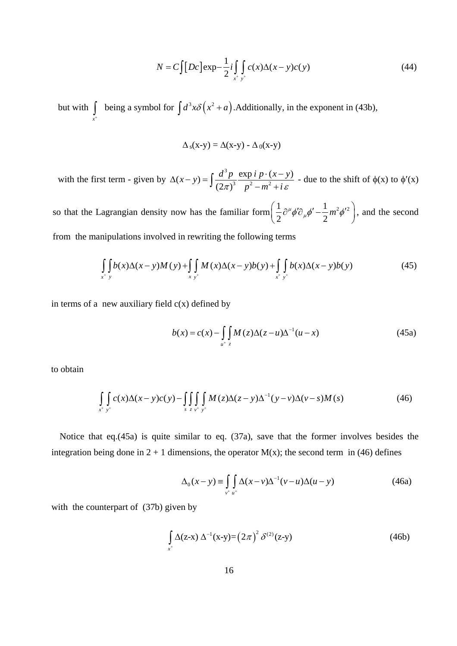$$
N = C \int [Dc] \exp{-\frac{1}{2}i \int \limits_{x^+} \int \limits_{y^+} c(x) \Delta(x - y) c(y)}
$$
(44)

but with  $\parallel$  being a symbol for  $\int_{x^+}$  being a symbol for  $\int d^3x \delta(x^2 + a)$ . Additionally, in the exponent in (43b),

$$
\Delta_{s}(x-y) = \Delta(x-y) - \Delta_{0}(x-y)
$$

with the first term - given by 3  $(x - y) = \int \frac{d^3 p}{(2\pi)^3} \frac{\exp i p \cdot (x - y)}{p^2 - m^2 + i \varepsilon}$  $\Delta(x-y) = \int \frac{d^3 p}{(2\pi)^3} \frac{\exp i p \cdot (x-y)}{p^2 - m^2 + i \varepsilon}$  - due to the shift of  $\phi(x)$  to  $\phi'(x)$ 

so that the Lagrangian density now has the familiar form  $\left(\frac{1}{2}\partial^{\mu}\phi^{\prime}\partial_{\mu}\phi^{\prime}-\frac{1}{2}m^{2}\phi^{\prime}^{2}\right)$  $\left(\frac{1}{2}\partial^{\mu}\phi^{\prime}\partial_{\mu}\phi^{\prime}-\frac{1}{2}m^{2}\phi^{\prime}^{2}\right)$ , and the second from the manipulations involved in rewriting the following terms

$$
\int_{x^+} \int_{y} b(x) \Delta(x - y) M(y) + \int_{x} \int_{y^+} M(x) \Delta(x - y) b(y) + \int_{x^+} \int_{y^+} b(x) \Delta(x - y) b(y) \tag{45}
$$

in terms of a new auxiliary field  $c(x)$  defined by

$$
b(x) = c(x) - \int_{u^+} \int_{z} M(z) \Delta(z - u) \Delta^{-1}(u - x)
$$
 (45a)

to obtain

$$
\int\limits_{x^+} \int\limits_{y^+} c(x) \Delta(x-y) c(y) - \int\limits_{s} \int\limits_{z} \int\limits_{y^+} \int\limits_{y^+} M(z) \Delta(z-y) \Delta(x-y) \Delta(y-z) M(s) \tag{46}
$$

Notice that eq.(45a) is quite similar to eq. (37a), save that the former involves besides the integration being done in  $2 + 1$  dimensions, the operator  $M(x)$ ; the second term in (46) defines

$$
\Delta_0(x-y) \equiv \int\limits_{v^+ u^+} \Delta(x-v) \Delta^{-1}(v-u) \Delta(u-y) \tag{46a}
$$

with the counterpart of (37b) given by

$$
\int_{x^+} \Delta(z-x) \Delta^{-1}(x-y) = (2\pi)^2 \delta^{(2)}(z-y)
$$
\n(46b)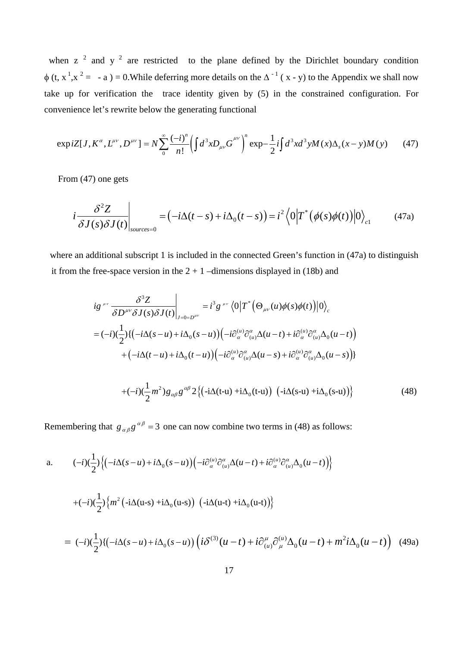when z  $2$  and y  $2$  are restricted to the plane defined by the Dirichlet boundary condition  $\phi$  (t, x<sup>1</sup>,x<sup>2</sup> = - a) = 0. While deferring more details on the  $\Delta^{-1}$  (x - y) to the Appendix we shall now take up for verification the trace identity given by (5) in the constrained configuration. For convenience let's rewrite below the generating functional

$$
\exp iZ[J, K^{\alpha}, L^{\mu\nu}, D^{\mu\nu}] = N \sum_{0}^{\infty} \frac{(-i)^{n}}{n!} \left( \int d^{3}x D_{\mu\nu} G^{\mu\nu} \right)^{n} \exp \left( -\frac{1}{2} i \int d^{3}x d^{3}y M(x) \Delta_{s}(x-y) M(y) \right) \tag{47}
$$

From (47) one gets

$$
i\frac{\delta^2 Z}{\delta J(s)\delta J(t)}\bigg|_{sources=0} = \left(-i\Delta(t-s) + i\Delta_0(t-s)\right) = i^2 \left\langle 0 \left|T^*\left(\phi(s)\phi(t)\right)\right|0\right\rangle_{c1} \tag{47a}
$$

where an additional subscript 1 is included in the connected Green's function in (47a) to distinguish it from the free-space version in the  $2 + 1$  –dimensions displayed in (18b) and

$$
ig^{\mu\nu}\frac{\partial^3 Z}{\partial D^{\mu\nu}\delta J(s)\delta J(t)}\Big|_{J=0=D^{\mu\nu}} = i^3 g^{\mu\nu} \langle 0|T^* \big(\Theta_{\mu\nu}(u)\phi(s)\phi(t)\big)|0\rangle_c
$$
  
\n
$$
= (-i)(\frac{1}{2})\{(-i\Delta(s-u)+i\Delta_0(s-u))\big(-i\partial_{\alpha}^{(u)}\partial_{(u)}^{\alpha}\Delta(u-t)+i\partial_{\alpha}^{(u)}\partial_{(u)}^{\alpha}\Delta_0(u-t)\big) \\ +(-i\Delta(t-u)+i\Delta_0(t-u))\big(-i\partial_{\alpha}^{(u)}\partial_{(u)}^{\alpha}\Delta(u-s)+i\partial_{\alpha}^{(u)}\partial_{(u)}^{\alpha}\Delta_0(u-s)\big)\}\n+(-i)(\frac{1}{2}m^2)g_{\alpha\beta}g^{\alpha\beta}2\{(-i\Delta(t-u)+i\Delta_0(t-u))\big(-i\Delta(s-u)+i\Delta_0(s-u)\big)\}\n\tag{48}
$$

Remembering that  $g_{\alpha\beta}g^{\alpha\beta} = 3$  one can now combine two terms in (48) as follows:

a. 
$$
(-i)(\frac{1}{2})\{(-i\Delta(s-u)+i\Delta_{0}(s-u))(-i\partial_{\alpha}^{(u)}\partial_{(u)}^{\alpha}\Delta(u-t)+i\partial_{\alpha}^{(u)}\partial_{(u)}^{\alpha}\Delta_{0}(u-t))\}
$$

$$
+(-i)(\frac{1}{2})\{m^{2}(-i\Delta(u-s)+i\Delta_{0}(u-s))(-i\Delta(u-t)+i\Delta_{0}(u-t))\}
$$

$$
= (-i)(\frac{1}{2})\{(-i\Delta(s-u)+i\Delta_{0}(s-u))\left(i\delta^{(3)}(u-t)+i\partial_{(u)}^{u}\partial_{\mu}^{(u)}\Delta_{0}(u-t)+m^{2}i\Delta_{0}(u-t)\right) (49a)
$$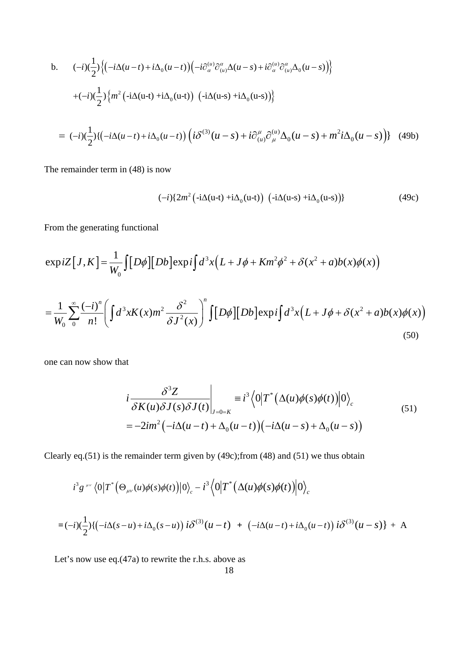b. 
$$
(-i)(\frac{1}{2})\{(-i\Delta(u-t)+i\Delta_0(u-t))(-i\partial_{\alpha}^{(u)}\partial_{(u)}^{\alpha}\Delta(u-s)+i\partial_{\alpha}^{(u)}\partial_{(u)}^{\alpha}\Delta_0(u-s))\}
$$

$$
+(-i)(\frac{1}{2})\{m^2(-i\Delta(u-t)+i\Delta_0(u-t))(-i\Delta(u-s)+i\Delta_0(u-s))\}
$$

$$
= (-i)(\frac{1}{2})\{(-i\Delta(u-t)+i\Delta_0(u-t))\left(i\delta^{(3)}(u-s)+i\partial_{(u)}^{u}\partial_{\mu}^{(u)}\Delta_0(u-s)+m^2i\Delta_0(u-s)\right)\} (49b)
$$

The remainder term in (48) is now

$$
(-i)\left\{2m^2\left(-i\Delta(u-t)+i\Delta_0(u-t)\right)\left(-i\Delta(u-s)+i\Delta_0(u-s)\right)\right\}\tag{49c}
$$

From the generating functional

$$
\exp iZ[J,K] = \frac{1}{W_0} \int [D\phi][Db] \exp i\int d^3x (L+J\phi+Km^2\phi^2+\delta(x^2+a)b(x)\phi(x))
$$
  

$$
= \frac{1}{W_0} \sum_{0}^{\infty} \frac{(-i)^n}{n!} \left( \int d^3x K(x) m^2 \frac{\delta^2}{\delta J^2(x)} \right)^n \int [D\phi][Db] \exp i\int d^3x (L+J\phi+\delta(x^2+a)b(x)\phi(x))
$$
(50)

one can now show that

$$
\left. i \frac{\delta^3 Z}{\delta K(u)\delta J(s)\delta J(t)} \right|_{J=0=K} \equiv i^3 \left\langle 0 \left| T^* \left( \Delta(u)\phi(s)\phi(t) \right) \right| 0 \right\rangle_c
$$
\n
$$
= -2im^2 \left( -i\Delta(u-t) + \Delta_0(u-t) \right) \left( -i\Delta(u-s) + \Delta_0(u-s) \right)
$$
\n(51)

Clearly eq.(51) is the remainder term given by (49c);from (48) and (51) we thus obtain

$$
i^3 g^{\mu\nu} \langle 0|T^* \big(\Theta_{\mu\nu}(u)\phi(s)\phi(t)\big)|0\rangle_c - i^3 \langle 0|T^* \big(\Delta(u)\phi(s)\phi(t)\big)|0\rangle_c
$$
  
=  $(-i)(\frac{1}{2})\{(-i\Delta(s-u)+i\Delta_0(s-u))i\delta^{(3)}(u-t) + (-i\Delta(u-t)+i\Delta_0(u-t))i\delta^{(3)}(u-s)\} + A$ 

Let's now use eq.(47a) to rewrite the r.h.s. above as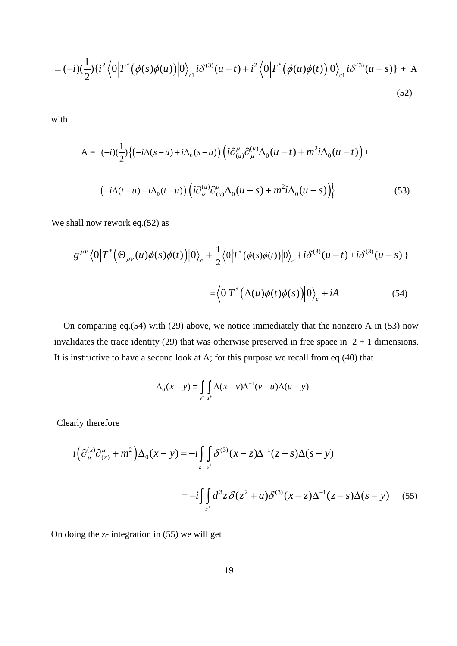$$
= (-i)(\frac{1}{2})\{i^{2}\langle 0|T^{*}(\phi(s)\phi(u))|0\rangle_{c1}i\delta^{(3)}(u-t)+i^{2}\langle 0|T^{*}(\phi(u)\phi(t))|0\rangle_{c1}i\delta^{(3)}(u-s)\} + A
$$
\n(52)

with

$$
\mathbf{A} = (-i)(\frac{1}{2}) \{ (-i\Delta(s-u) + i\Delta_0(s-u)) \left( i\partial_{(u)}^\mu \partial_\mu^{(u)} \Delta_0(u-t) + m^2 i\Delta_0(u-t) \right) +
$$
  

$$
(-i\Delta(t-u) + i\Delta_0(t-u)) \left( i\partial_{\alpha}^{(u)} \partial_{(u)}^\alpha \Delta_0(u-s) + m^2 i\Delta_0(u-s) \right) \}
$$
(53)

We shall now rework eq.(52) as

$$
g^{\mu\nu} \langle 0|T^* \Big(\Theta_{\mu\nu}(u)\phi(s)\phi(t)\Big)|0\rangle_c + \frac{1}{2} \langle 0|T^* (\phi(s)\phi(t))|0\rangle_c \{i\delta^{(3)}(u-t) + i\delta^{(3)}(u-s)\}\
$$

$$
= \langle 0|T^* (\Delta(u)\phi(t)\phi(s))|0\rangle_c + iA \tag{54}
$$

On comparing eq.(54) with (29) above, we notice immediately that the nonzero A in (53) now invalidates the trace identity (29) that was otherwise preserved in free space in  $2 + 1$  dimensions. It is instructive to have a second look at A; for this purpose we recall from eq.(40) that

$$
\Delta_0(x-y) \equiv \int\limits_{v^+ u^+} \Delta(x-v) \Delta^{-1}(v-u) \Delta(u-y)
$$

Clearly therefore

$$
i\left(\partial_{\mu}^{(x)}\partial_{(x)}^{\mu} + m^{2}\right)\Delta_{0}(x - y) = -i\int_{z^{+} s^{+}} \int_{s^{+}} \delta^{(3)}(x - z)\Delta^{-1}(z - s)\Delta(s - y)
$$

$$
= -i\int_{s^{+}} d^{3}z \delta(z^{2} + a)\delta^{(3)}(x - z)\Delta^{-1}(z - s)\Delta(s - y) \qquad (55)
$$

On doing the z- integration in (55) we will get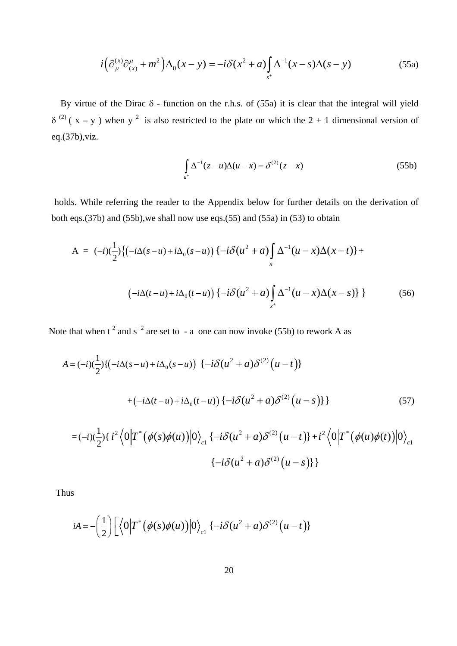$$
i\left(\partial_{\mu}^{(x)}\partial_{(x)}^{\mu} + m^2\right)\Delta_0(x-y) = -i\delta(x^2 + a)\int_{s^+} \Delta^{-1}(x-s)\Delta(s-y) \tag{55a}
$$

By virtue of the Dirac  $\delta$  - function on the r.h.s. of (55a) it is clear that the integral will yield  $\delta^{(2)}$  ( x – y ) when y<sup>2</sup> is also restricted to the plate on which the 2 + 1 dimensional version of eq.(37b),viz.

$$
\int_{u^+} \Delta^{-1}(z - u)\Delta(u - x) = \delta^{(2)}(z - x)
$$
\n(55b)

holds. While referring the reader to the Appendix below for further details on the derivation of both eqs.(37b) and (55b),we shall now use eqs.(55) and (55a) in (53) to obtain

$$
A = (-i)(\frac{1}{2})\{(-i\Delta(s-u) + i\Delta_0(s-u))\} - i\delta(u^2 + a)\int_{x^+} \Delta^{-1}(u-x)\Delta(x-t)\} +
$$
  

$$
(-i\Delta(t-u) + i\Delta_0(t-u))\{-i\delta(u^2 + a)\int_{x^+} \Delta^{-1}(u-x)\Delta(x-s)\}\}
$$
(56)

Note that when  $t^2$  and  $s^2$  are set to - a one can now invoke (55b) to rework A as

$$
A = (-i)(\frac{1}{2})\{(-i\Delta(s-u) + i\Delta_0(s-u))\} \{-i\delta(u^2+a)\delta^{(2)}(u-t)\}\
$$
  
+
$$
(-i\Delta(t-u) + i\Delta_0(t-u))\{-i\delta(u^2+a)\delta^{(2)}(u-s)\}\}
$$
(57)  

$$
= (-i)(\frac{1}{2})\{i^2\langle 0|\overline{T}^*(\phi(s)\phi(u))|0\rangle \} \{-i\delta(u^2+a)\delta^{(2)}(u-t)\} + i^2\langle 0|\overline{T}^*(\phi(u)\phi(t))|0\rangle
$$

$$
= (-i)(\frac{1}{2})\{i^2 \langle 0|T^* (\phi(s)\phi(u))|0\rangle_{c1} \{-i\delta(u^2+a)\delta^{(2)}(u-t)\} + i^2 \langle 0|T^* (\phi(u)\phi(t))|0\rangle_{c1} \{-i\delta(u^2+a)\delta^{(2)}(u-s)\}\}\
$$

Thus

$$
iA = -\left(\frac{1}{2}\right) \left[ \left\langle 0 \middle| T^* \left( \phi(s) \phi(u) \right) \middle| 0 \right\rangle_{c1} \left\{ -i \delta(u^2 + a) \delta^{(2)}(u - t) \right\} \right]
$$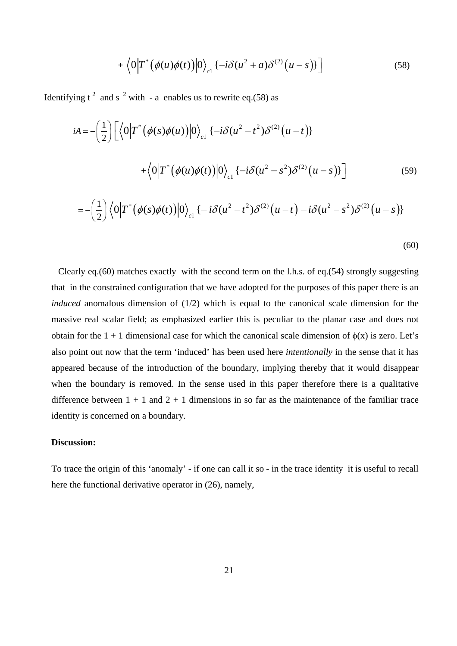$$
+\left\langle 0 \Big| T^* \big( \phi(u)\phi(t) \big) \Big| 0 \right\rangle_{c1} \left\{ -i \delta(u^2+a) \delta^{(2)}(u-s) \right\} \Big] \tag{58}
$$

Identifying  $t^2$  and s<sup>2</sup> with - a enables us to rewrite eq.(58) as

$$
iA = -\left(\frac{1}{2}\right) \left[ \left\langle 0 \middle| T^* \left( \phi(s)\phi(u) \right) \middle| 0 \right\rangle_{c1} \left\{ -i\delta(u^2 - t^2)\delta^{(2)}(u - t) \right\} \right. \\ \left. + \left\langle 0 \middle| T^* \left( \phi(u)\phi(t) \right) \middle| 0 \right\rangle_{c1} \left\{ -i\delta(u^2 - s^2)\delta^{(2)}(u - s) \right\} \right] \tag{59}
$$

(60)

Clearly eq.(60) matches exactly with the second term on the l.h.s. of eq.(54) strongly suggesting that in the constrained configuration that we have adopted for the purposes of this paper there is an *induced* anomalous dimension of (1/2) which is equal to the canonical scale dimension for the massive real scalar field; as emphasized earlier this is peculiar to the planar case and does not obtain for the 1 + 1 dimensional case for which the canonical scale dimension of  $\phi(x)$  is zero. Let's also point out now that the term 'induced' has been used here *intentionally* in the sense that it has appeared because of the introduction of the boundary, implying thereby that it would disappear when the boundary is removed. In the sense used in this paper therefore there is a qualitative difference between  $1 + 1$  and  $2 + 1$  dimensions in so far as the maintenance of the familiar trace identity is concerned on a boundary.

# **Discussion:**

To trace the origin of this 'anomaly' - if one can call it so - in the trace identity it is useful to recall here the functional derivative operator in  $(26)$ , namely,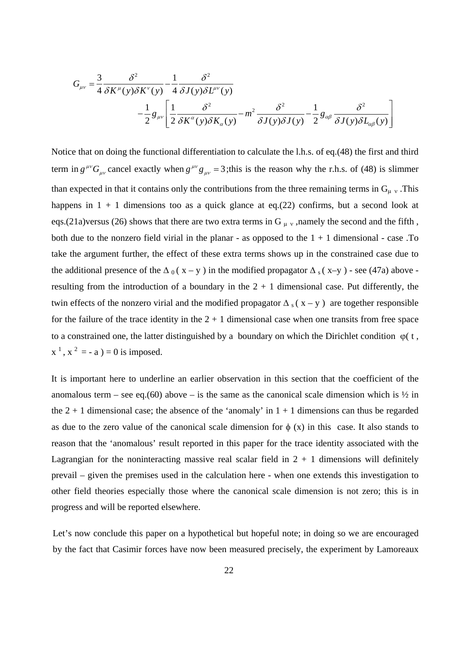$$
G_{\mu\nu} = \frac{3}{4} \frac{\delta^2}{\delta K^{\mu}(y)\delta K^{\nu}(y)} - \frac{1}{4} \frac{\delta^2}{\delta J(y)\delta L^{\mu\nu}(y)}
$$

$$
- \frac{1}{2} g_{\mu\nu} \left[ \frac{1}{2} \frac{\delta^2}{\delta K^{\alpha}(y)\delta K_{\alpha}(y)} - m^2 \frac{\delta^2}{\delta J(y)\delta J(y)} - \frac{1}{2} g_{\alpha\beta} \frac{\delta^2}{\delta J(y)\delta L_{\alpha\beta}(y)} \right]
$$

Notice that on doing the functional differentiation to calculate the l.h.s. of eq.(48) the first and third term in  $g^{\mu\nu}G_{\mu\nu}$  cancel exactly when  $g^{\mu\nu}g_{\mu\nu} = 3$ ;this is the reason why the r.h.s. of (48) is slimmer than expected in that it contains only the contributions from the three remaining terms in  $G_{\mu\nu}$ . This happens in  $1 + 1$  dimensions too as a quick glance at eq.(22) confirms, but a second look at eqs.(21a)versus (26) shows that there are two extra terms in G  $_{\mu \nu}$ , namely the second and the fifth, both due to the nonzero field virial in the planar - as opposed to the  $1 + 1$  dimensional - case .To take the argument further, the effect of these extra terms shows up in the constrained case due to the additional presence of the  $\Delta_0(x-y)$  in the modified propagator  $\Delta_s(x-y)$  - see (47a) above resulting from the introduction of a boundary in the  $2 + 1$  dimensional case. Put differently, the twin effects of the nonzero virial and the modified propagator  $\Delta$  s (x – y ) are together responsible for the failure of the trace identity in the  $2 + 1$  dimensional case when one transits from free space to a constrained one, the latter distinguished by a boundary on which the Dirichlet condition  $\varphi$  (t,  $x^1$ ,  $x^2 = -a$ ) = 0 is imposed.

It is important here to underline an earlier observation in this section that the coefficient of the anomalous term – see eq.(60) above – is the same as the canonical scale dimension which is  $\frac{1}{2}$  in the  $2 + 1$  dimensional case; the absence of the 'anomaly' in  $1 + 1$  dimensions can thus be regarded as due to the zero value of the canonical scale dimension for  $\phi$  (x) in this case. It also stands to reason that the 'anomalous' result reported in this paper for the trace identity associated with the Lagrangian for the noninteracting massive real scalar field in  $2 + 1$  dimensions will definitely prevail – given the premises used in the calculation here - when one extends this investigation to other field theories especially those where the canonical scale dimension is not zero; this is in progress and will be reported elsewhere.

Let's now conclude this paper on a hypothetical but hopeful note; in doing so we are encouraged by the fact that Casimir forces have now been measured precisely, the experiment by Lamoreaux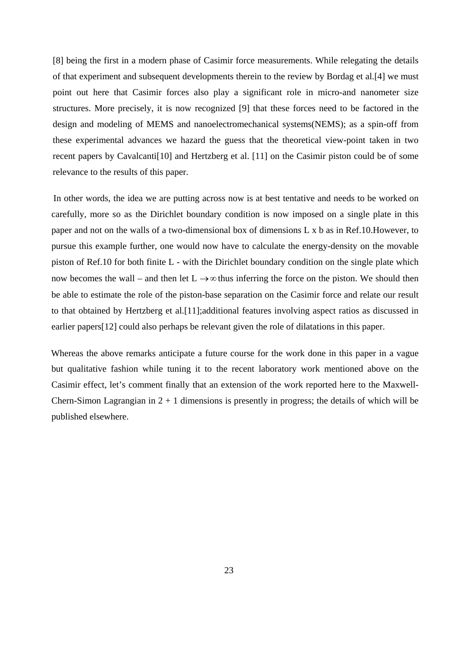[8] being the first in a modern phase of Casimir force measurements. While relegating the details of that experiment and subsequent developments therein to the review by Bordag et al.[4] we must point out here that Casimir forces also play a significant role in micro-and nanometer size structures. More precisely, it is now recognized [9] that these forces need to be factored in the design and modeling of MEMS and nanoelectromechanical systems(NEMS); as a spin-off from these experimental advances we hazard the guess that the theoretical view-point taken in two recent papers by Cavalcanti[10] and Hertzberg et al. [11] on the Casimir piston could be of some relevance to the results of this paper.

In other words, the idea we are putting across now is at best tentative and needs to be worked on carefully, more so as the Dirichlet boundary condition is now imposed on a single plate in this paper and not on the walls of a two-dimensional box of dimensions L x b as in Ref.10.However, to pursue this example further, one would now have to calculate the energy-density on the movable piston of Ref.10 for both finite L - with the Dirichlet boundary condition on the single plate which now becomes the wall – and then let  $L \rightarrow \infty$  thus inferring the force on the piston. We should then be able to estimate the role of the piston-base separation on the Casimir force and relate our result to that obtained by Hertzberg et al.[11];additional features involving aspect ratios as discussed in earlier papers[12] could also perhaps be relevant given the role of dilatations in this paper.

Whereas the above remarks anticipate a future course for the work done in this paper in a vague but qualitative fashion while tuning it to the recent laboratory work mentioned above on the Casimir effect, let's comment finally that an extension of the work reported here to the Maxwell-Chern-Simon Lagrangian in  $2 + 1$  dimensions is presently in progress; the details of which will be published elsewhere.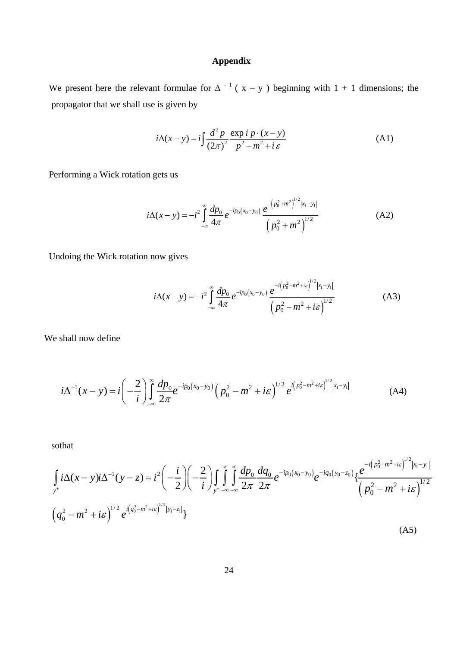# **Appendix**

We present here the relevant formulae for  $\Delta^{-1}$  ( $x - y$ ) beginning with 1 + 1 dimensions; the propagator that we shall use is given by

$$
i\Delta(x-y) = i\int \frac{d^2 p}{(2\pi)^2} \frac{\exp i p \cdot (x-y)}{p^2 - m^2 + i \varepsilon}
$$
 (A1)

Performing a Wick rotation gets us

$$
i\Delta(x-y) = -i^2 \int_{-\infty}^{\infty} \frac{dp_0}{4\pi} e^{-ip_0(x_0-y_0)} \frac{e^{-\left(p_0^2 + m^2\right)^{1/2}|x_1-y_1|}}{\left(p_0^2 + m^2\right)^{1/2}}
$$
(A2)

Undoing the Wick rotation now gives

$$
i\Delta(x-y) = -i^2 \int_{-\infty}^{\infty} \frac{dp_0}{4\pi} e^{-ip_0(x_0-y_0)} \frac{e^{-i(p_0^2 - m^2 + i\varepsilon)}^{1/2} |x_1 - y_1|}{\left(p_0^2 - m^2 + i\varepsilon\right)^{1/2}}
$$
(A3)

We shall now define

$$
i\Delta^{-1}(x-y) = i\left(-\frac{2}{i}\right)\int_{-\infty}^{\infty}\frac{dp_0}{2\pi}e^{-ip_0(x_0-y_0)}\left(p_0^2 - m^2 + i\varepsilon\right)^{1/2}e^{i\left(p_0^2 - m^2 + i\varepsilon\right)^{1/2}|x_1-y_1|}\tag{A4}
$$

sothat

$$
\int_{y^{+}} i\Delta(x-y)i\Delta^{-1}(y-z) = i^{2}\left(-\frac{i}{2}\right)\left(-\frac{2}{i}\right)\int_{y^{+}\infty}^{\infty} \int_{z}\frac{dp_{0}}{2\pi} \frac{dq_{0}}{2\pi} e^{-ip_{0}(x_{0}-y_{0})}e^{-iq_{0}(y_{0}-z_{0})}\left\{\frac{e^{-i\left(p_{0}^{2}-m^{2}+ie\right)^{1/2}|x_{1}-y_{1}|}}{\left(p_{0}^{2}-m^{2}+ie\right)^{1/2}}\right\}
$$
\n
$$
\left(q_{0}^{2}-m^{2}+ie\right)^{1/2} e^{i\left(q_{0}^{2}-m^{2}+ie\right)^{1/2}|y_{1}-z_{1}|}\right\}
$$
\n(A5)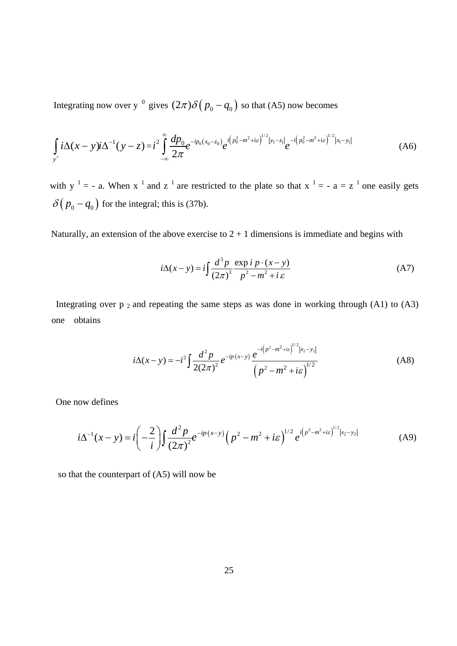Integrating now over y<sup>0</sup> gives  $(2\pi)\delta(p_0 - q_0)$  so that (A5) now becomes

$$
\int_{y^+} i\Delta(x-y)i\Delta^{-1}(y-z)=i^2\int_{-\infty}^{\infty} \frac{dp_0}{2\pi}e^{-ip_0(x_0-z_0)}e^{i(p_0^2-m^2+i\varepsilon)^{1/2}|y_1-z_1|}e^{-i(p_0^2-m^2+i\varepsilon)^{1/2}|x_1-y_1|}
$$
(A6)

with  $y^{-1} = -a$ . When  $x^{-1}$  and  $z^{-1}$  are restricted to the plate so that  $x^{-1} = -a = z^{-1}$  one easily gets  $\delta (p_0 - q_0)$  for the integral; this is (37b).

Naturally, an extension of the above exercise to  $2 + 1$  dimensions is immediate and begins with

$$
i\Delta(x-y) = i\int \frac{d^3 p}{(2\pi)^3} \frac{\exp i p \cdot (x-y)}{p^2 - m^2 + i \varepsilon}
$$
 (A7)

Integrating over  $p_2$  and repeating the same steps as was done in working through (A1) to (A3) one obtains

$$
i\Delta(x-y) = -i^2 \int \frac{d^2 p}{2(2\pi)^2} e^{-ip \cdot (x-y)} \frac{e^{-i(p^2 - m^2 + i\varepsilon)}^{1/2}|x_2 - y_2|}{\left(p^2 - m^2 + i\varepsilon\right)^{1/2}}
$$
(A8)

One now defines

$$
i\Delta^{-1}(x-y) = i\left(-\frac{2}{i}\right)\int \frac{d^2p}{(2\pi)^2}e^{-ip(x-y)}\left(p^2 - m^2 + i\varepsilon\right)^{1/2}e^{i\left(p^2 - m^2 + i\varepsilon\right)^{1/2}|x_2 - y_2|}\tag{A9}
$$

so that the counterpart of (A5) will now be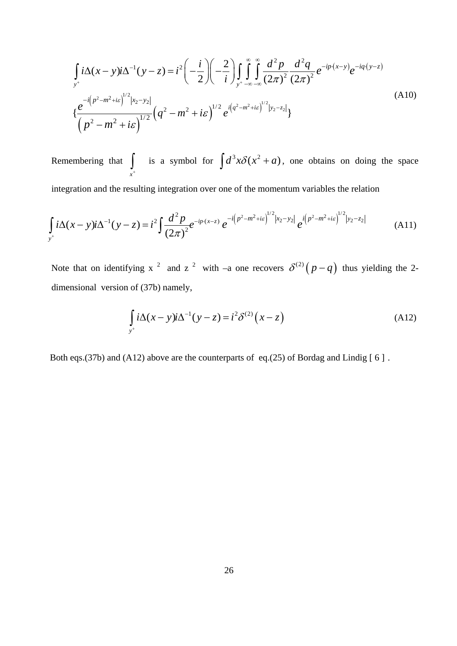$$
\int_{y^+} i\Delta(x-y)i\Delta^{-1}(y-z) = i^2 \left(-\frac{i}{2}\right) \left(-\frac{2}{i}\right) \int_{y^+} \int_{-\infty}^{\infty} \int_{-\infty}^{\infty} \frac{d^2p}{(2\pi)^2} \frac{d^2q}{(2\pi)^2} e^{-ip\cdot(x-y)} e^{-iq\cdot(y-z)}
$$
\n
$$
\left\{\frac{e^{-i\left(p^2 - m^2 + i\varepsilon\right)^{1/2}|x_2 - y_2|}}{\left(p^2 - m^2 + i\varepsilon\right)^{1/2}} \left(q^2 - m^2 + i\varepsilon\right)^{1/2} e^{i\left(q^2 - m^2 + i\varepsilon\right)^{1/2}|y_2 - z_2|}\right\}
$$
\n(A10)

Remembering that is a symbol for  $\int d^3x \delta(x^2 + a)$ *x*+  $\int$  is a symbol for  $\int d^3x \delta(x^2 + a)$ , one obtains on doing the space

integration and the resulting integration over one of the momentum variables the relation

$$
\int_{y^{+}} i\Delta(x-y)i\Delta^{-1}(y-z) = i^{2} \int \frac{d^{2}p}{(2\pi)^{2}} e^{-ip\cdot(x-z)} e^{-i(p^{2}-m^{2}+i\varepsilon)^{1/2}|x_{2}-y_{2}|} e^{i(p^{2}-m^{2}+i\varepsilon)^{1/2}|y_{2}-z_{2}|}
$$
(A11)

Note that on identifying x <sup>2</sup> and z <sup>2</sup> with –a one recovers  $\delta^{(2)}(p-q)$  thus yielding the 2dimensional version of (37b) namely,

$$
\int_{y^+} i\Delta(x-y)i\Delta^{-1}(y-z) = i^2 \delta^{(2)}(x-z)
$$
\n(A12)

Both eqs.(37b) and (A12) above are the counterparts of eq.(25) of Bordag and Lindig [6].